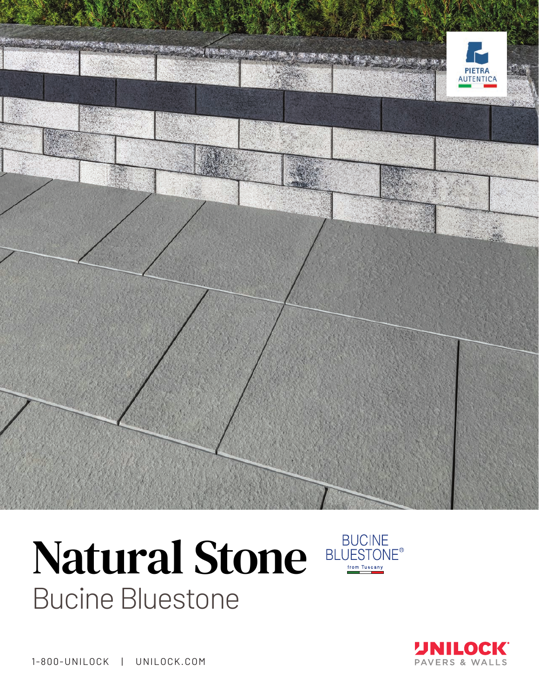

## Natural Stone BLUESTONE **Bucine Bluestone**





1-800-UNILOCK | UNILOCK.COM